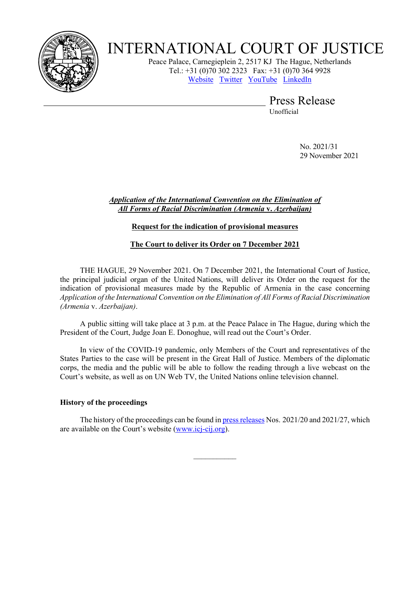

# INTERNATIONAL COURT OF JUSTICE

Peace Palace, Carnegieplein 2, 2517 KJ The Hague, Netherlands Tel.: +31 (0)70 302 2323 Fax: +31 (0)70 364 9928 [Website](https://www.icj-cij.org/) [Twitter](https://twitter.com/CIJ_ICJ) [YouTube](https://www.youtube.com/channel/UC28oiS6IwkVvWL7kLH1-QPg?app=desktop) [LinkedIn](https://www.linkedin.com/company/cour-internationale-de-justice-international-court-of-justice) 

Press Release

Unofficial

No. 2021/31 29 November 2021

#### *Application of the International Convention on the Elimination of All Forms of Racial Discrimination (Armenia* **v.** *Azerbaijan)*

## **Request for the indication of provisional measures**

## **The Court to deliver its Order on 7 December 2021**

THE HAGUE, 29 November 2021. On 7 December 2021, the International Court of Justice, the principal judicial organ of the United Nations, will deliver its Order on the request for the indication of provisional measures made by the Republic of Armenia in the case concerning *Application of the International Convention on the Elimination of All Forms of Racial Discrimination (Armenia* v. *Azerbaijan)*.

A public sitting will take place at 3 p.m. at the Peace Palace in The Hague, during which the President of the Court, Judge Joan E. Donoghue, will read out the Court's Order.

In view of the COVID-19 pandemic, only Members of the Court and representatives of the States Parties to the case will be present in the Great Hall of Justice. Members of the diplomatic corps, the media and the public will be able to follow the reading through a live webcast on the Court's website, as well as on UN Web TV, the United Nations online television channel.

#### **History of the proceedings**

The history of the proceedings can be found i[n press releases](https://www.icj-cij.org/en/case/180/press-releases) Nos. 2021/20 and 2021/27, which are available on the Court's website [\(www.icj-cij.org\)](https://www.icj-cij.org/).

 $\frac{1}{2}$